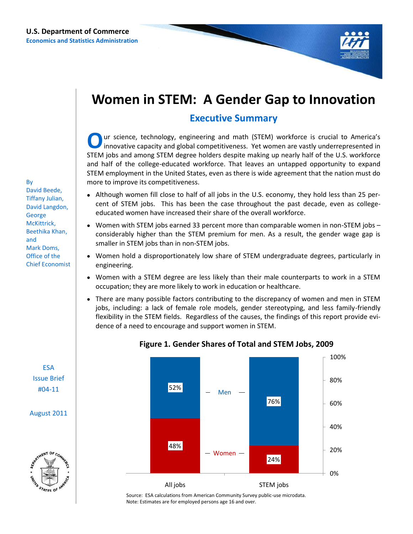

# **Women in STEM: A Gender Gap to Innovation**

## **Executive Summary**

**O**ur science, technology, engineering and math (STEM) workforce is crucial to America's innovative capacity and global competitiveness. Yet women are vastly underrepresented in STEM jobs and among STEM degree holders desp ur science, technology, engineering and math (STEM) workforce is crucial to America's innovative capacity and global competitiveness. Yet women are vastly underrepresented in and half of the college-educated workforce. That leaves an untapped opportunity to expand STEM employment in the United States, even as there is wide agreement that the nation must do more to improve its competitiveness.

- Although women fill close to half of all jobs in the U.S. economy, they hold less than 25 percent of STEM jobs. This has been the case throughout the past decade, even as collegeeducated women have increased their share of the overall workforce.
- Women with STEM jobs earned 33 percent more than comparable women in non-STEM jobs  $\bullet$ considerably higher than the STEM premium for men. As a result, the gender wage gap is smaller in STEM jobs than in non-STEM jobs.
- Women hold a disproportionately low share of STEM undergraduate degrees, particularly in engineering.
- Women with a STEM degree are less likely than their male counterparts to work in a STEM occupation; they are more likely to work in education or healthcare.
- There are many possible factors contributing to the discrepancy of women and men in STEM jobs, including: a lack of female role models, gender stereotyping, and less family-friendly flexibility in the STEM fields. Regardless of the causes, the findings of this report provide evidence of a need to encourage and support women in STEM.



### **Figure 1. Gender Shares of Total and STEM Jobs, 2009**

Source: ESA calculations from American Community Survey public-use microdata. Note: Estimates are for employed persons age 16 and over.

By David Beede, Tiffany Julian, David Langdon, George McKittrick, Beethika Khan, and Mark Doms, Office of the Chief Economist

> ESA Issue Brief #04-11

August 2011

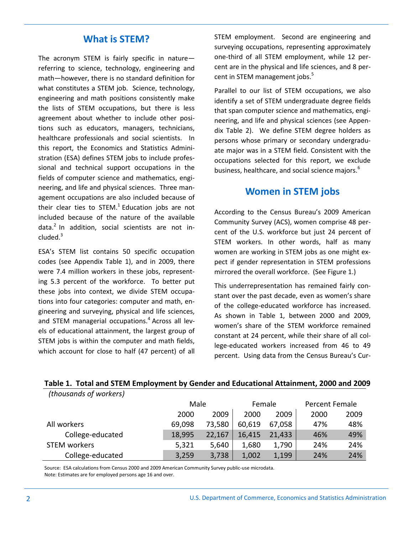The acronym STEM is fairly specific in nature referring to science, technology, engineering and math—however, there is no standard definition for what constitutes a STEM job. Science, technology, engineering and math positions consistently make the lists of STEM occupations, but there is less agreement about whether to include other positions such as educators, managers, technicians, healthcare professionals and social scientists. In this report, the Economics and Statistics Administration (ESA) defines STEM jobs to include professional and technical support occupations in the fields of computer science and mathematics, engineering, and life and physical sciences. Three management occupations are also included because of their clear ties to STEM. $^{1}$  Education jobs are not included because of the nature of the available data.<sup>2</sup> In addition, social scientists are not in $cluded.<sup>3</sup>$ 

ESA's STEM list contains 50 specific occupation codes (see Appendix Table 1), and in 2009, there were 7.4 million workers in these jobs, representing 5.3 percent of the workforce. To better put these jobs into context, we divide STEM occupations into four categories: computer and math, engineering and surveying, physical and life sciences, and STEM managerial occupations.<sup>4</sup> Across all levels of educational attainment, the largest group of STEM jobs is within the computer and math fields, which account for close to half (47 percent) of all

What is **STEM?** STEM employment. Second are engineering and surveying occupations, representing approximately one-third of all STEM employment, while 12 percent are in the physical and life sciences, and 8 percent in STEM management jobs.<sup>5</sup>

> Parallel to our list of STEM occupations, we also identify a set of STEM undergraduate degree fields that span computer science and mathematics, engineering, and life and physical sciences (see Appendix Table 2). We define STEM degree holders as persons whose primary or secondary undergraduate major was in a STEM field. Consistent with the occupations selected for this report, we exclude business, healthcare, and social science majors.<sup>6</sup>

## **Women in STEM jobs**

According to the Census Bureau's 2009 American Community Survey (ACS), women comprise 48 percent of the U.S. workforce but just 24 percent of STEM workers. In other words, half as many women are working in STEM jobs as one might expect if gender representation in STEM professions mirrored the overall workforce. (See Figure 1.)

This underrepresentation has remained fairly constant over the past decade, even as women's share of the college-educated workforce has increased. As shown in Table 1, between 2000 and 2009, women's share of the STEM workforce remained constant at 24 percent, while their share of all college-educated workers increased from 46 to 49 percent. Using data from the Census Bureau's Cur-

| (UIUUSUIIUS UJ WUIKEIS) |        |        |        |        |      |                |  |
|-------------------------|--------|--------|--------|--------|------|----------------|--|
|                         |        | Male   |        | Female |      | Percent Female |  |
|                         | 2000   | 2009   | 2000   | 2009   | 2000 | 2009           |  |
| All workers             | 69,098 | 73,580 | 60,619 | 67,058 | 47%  | 48%            |  |
| College-educated        | 18,995 | 22,167 | 16,415 | 21,433 | 46%  | 49%            |  |
| STEM workers            | 5,321  | 5,640  | 1,680  | 1,790  | 24%  | 24%            |  |
| College-educated        | 3,259  | 3,738  | 1,002  | 1,199  | 24%  | 24%            |  |

### *(thousands of workers)* **Table 1. Total and STEM Employment by Gender and Educational Attainment, 2000 and 2009**

Source: ESA calculations from Census 2000 and 2009 American Community Survey public-use microdata. Note: Estimates are for employed persons age 16 and over.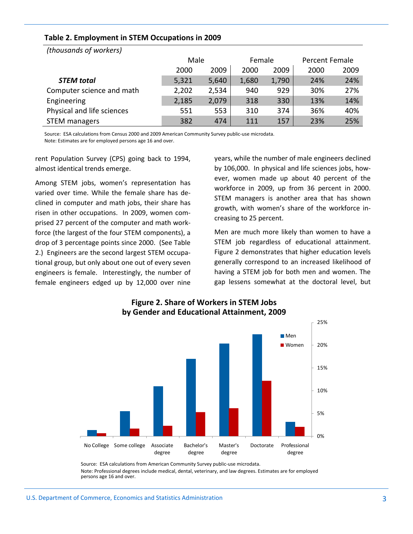| Table 2. Employment in STEM Occupations in 2009 |  |
|-------------------------------------------------|--|
|-------------------------------------------------|--|

| $\mu$                      |       |       |        |       |                |      |
|----------------------------|-------|-------|--------|-------|----------------|------|
|                            | Male  |       | Female |       | Percent Female |      |
|                            | 2000  | 2009  | 2000   | 2009  | 2000           | 2009 |
| <b>STEM</b> total          | 5,321 | 5,640 | 1,680  | 1,790 | 24%            | 24%  |
| Computer science and math  | 2,202 | 2,534 | 940    | 929   | 30%            | 27%  |
| Engineering                | 2,185 | 2,079 | 318    | 330   | 13%            | 14%  |
| Physical and life sciences | 551   | 553   | 310    | 374   | 36%            | 40%  |
| <b>STEM managers</b>       | 382   | 474   | 111    | 157   | 23%            | 25%  |

*(thousands of workers)*

Source: ESA calculations from Census 2000 and 2009 American Community Survey public-use microdata. Note: Estimates are for employed persons age 16 and over.

rent Population Survey (CPS) going back to 1994, almost identical trends emerge.

Among STEM jobs, women's representation has varied over time. While the female share has declined in computer and math jobs, their share has risen in other occupations. In 2009, women comprised 27 percent of the computer and math workforce (the largest of the four STEM components), a drop of 3 percentage points since 2000. (See Table 2.) Engineers are the second largest STEM occupational group, but only about one out of every seven engineers is female. Interestingly, the number of female engineers edged up by 12,000 over nine years, while the number of male engineers declined by 106,000. In physical and life sciences jobs, however, women made up about 40 percent of the workforce in 2009, up from 36 percent in 2000. STEM managers is another area that has shown growth, with women's share of the workforce increasing to 25 percent.

Men are much more likely than women to have a STEM job regardless of educational attainment. Figure 2 demonstrates that higher education levels generally correspond to an increased likelihood of having a STEM job for both men and women. The gap lessens somewhat at the doctoral level, but



### **Figure 2. Share of Workers in STEM Jobs by Gender and Educational Attainment, 2009**

Source: ESA calculations from American Community Survey public-use microdata. Note: Professional degrees include medical, dental, veterinary, and law degrees. Estimates are for employed persons age 16 and over.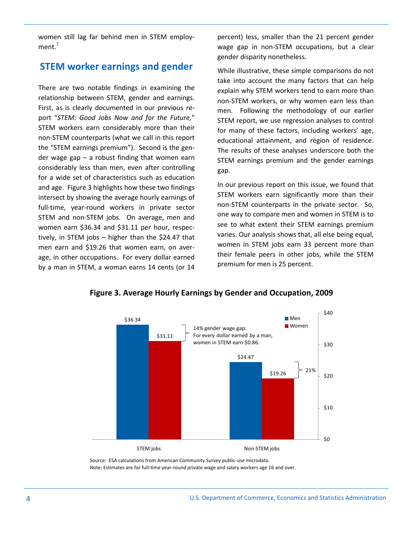women still lag far behind men in STEM employment.<sup>7</sup>

## **STEM worker earnings and gender**

There are two notable findings in examining the relationship between STEM, gender and earnings. First, as is clearly documented in our previous report "*STEM: Good Jobs Now and for the Future,*" STEM workers earn considerably more than their non-STEM counterparts (what we call in this report the "STEM earnings premium"). Second is the gender wage gap – a robust finding that women earn considerably less than men, even after controlling for a wide set of characteristics such as education and age. Figure 3 highlights how these two findings intersect by showing the average hourly earnings of full-time, year-round workers in private sector STEM and non-STEM jobs. On average, men and women earn \$36.34 and \$31.11 per hour, respectively, in STEM jobs – higher than the \$24.47 that men earn and \$19.26 that women earn, on average, in other occupations. For every dollar earned by a man in STEM, a woman earns 14 cents (or 14

percent) less, smaller than the 21 percent gender wage gap in non-STEM occupations, but a clear gender disparity nonetheless.

While illustrative, these simple comparisons do not take into account the many factors that can help explain why STEM workers tend to earn more than non-STEM workers, or why women earn less than men. Following the methodology of our earlier STEM report, we use regression analyses to control for many of these factors, including workers' age, educational attainment, and region of residence. The results of these analyses underscore both the STEM earnings premium and the gender earnings gap.

In our previous report on this issue, we found that STEM workers earn significantly more than their non-STEM counterparts in the private sector. So, one way to compare men and women in STEM is to see to what extent their STEM earnings premium varies. Our analysis shows that, all else being equal, women in STEM jobs earn 33 percent more than their female peers in other jobs, while the STEM premium for men is 25 percent.



**Figure 3. Average Hourly Earnings by Gender and Occupation, 2009**

Source: ESA calculations from American Community Survey public-use microdata. Note: Estimates are for full-time year-round private wage and salary workers age 16 and over.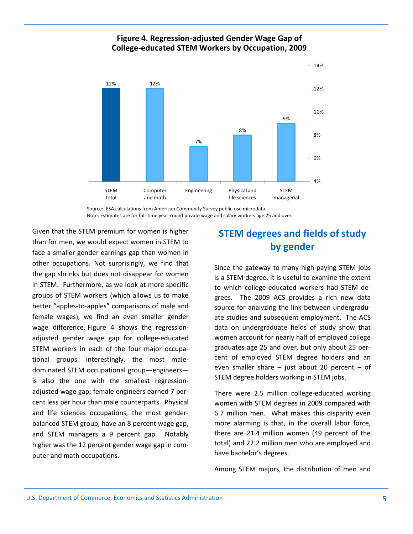### **Figure 4. Regression-adjusted Gender Wage Gap of College-educated STEM Workers by Occupation, 2009**



Source: ESA calculations from American Community Survey public-use microdata. Note: Estimates are for full-time year-round private wage and salary workers age 25 and over.

Given that the STEM premium for women is higher than for men, we would expect women in STEM to face a smaller gender earnings gap than women in other occupations. Not surprisingly, we find that the gap shrinks but does not disappear for women in STEM. Furthermore, as we look at more specific groups of STEM workers (which allows us to make better "apples-to-apples" comparisons of male and female wages), we find an even smaller gender wage difference. Figure 4 shows the regressionadjusted gender wage gap for college-educated STEM workers in each of the four major occupational groups. Interestingly, the most maledominated STEM occupational group—engineers is also the one with the smallest regressionadjusted wage gap; female engineers earned 7 percent less per hour than male counterparts. Physical and life sciences occupations, the most genderbalanced STEM group, have an 8 percent wage gap, and STEM managers a 9 percent gap. Notably higher was the 12 percent gender wage gap in computer and math occupations.

## **STEM degrees and fields of study by gender**

Since the gateway to many high-paying STEM jobs is a STEM degree, it is useful to examine the extent to which college-educated workers had STEM degrees. The 2009 ACS provides a rich new data source for analyzing the link between undergraduate studies and subsequent employment. The ACS data on undergraduate fields of study show that women account for nearly half of employed college graduates age 25 and over, but only about 25 percent of employed STEM degree holders and an even smaller share  $-$  just about 20 percent  $-$  of STEM degree holders working in STEM jobs.

There were 2.5 million college-educated working women with STEM degrees in 2009 compared with 6.7 million men. What makes this disparity even more alarming is that, in the overall labor force, there are 21.4 million women (49 percent of the total) and 22.2 million men who are employed and have bachelor's degrees.

Among STEM majors, the distribution of men and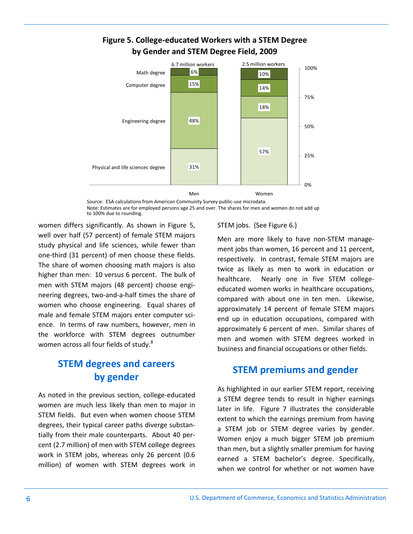

## **Figure 5. College-educated Workers with a STEM Degree by Gender and STEM Degree Field, 2009**

Source: ESA calculations from American Community Survey public-use microdata. Note: Estimates are for employed persons age 25 and over. The shares for men and women do not add up to 100% due to rounding.

women differs significantly. As shown in Figure 5, well over half (57 percent) of female STEM majors study physical and life sciences, while fewer than one-third (31 percent) of men choose these fields. The share of women choosing math majors is also higher than men: 10 versus 6 percent. The bulk of men with STEM majors (48 percent) choose engineering degrees, two-and-a-half times the share of women who choose engineering. Equal shares of male and female STEM majors enter computer science. In terms of raw numbers, however, men in the workforce with STEM degrees outnumber women across all four fields of study.<sup>8</sup>

## **STEM degrees and careers by gender STEM premiums and gender**

As noted in the previous section, college-educated women are much less likely than men to major in STEM fields. But even when women choose STEM degrees, their typical career paths diverge substantially from their male counterparts. About 40 percent (2.7 million) of men with STEM college degrees work in STEM jobs, whereas only 26 percent (0.6 million) of women with STEM degrees work in

### STEM jobs. (See Figure 6.)

Men are more likely to have non-STEM management jobs than women, 16 percent and 11 percent, respectively. In contrast, female STEM majors are twice as likely as men to work in education or healthcare. Nearly one in five STEM collegeeducated women works in healthcare occupations, compared with about one in ten men. Likewise, approximately 14 percent of female STEM majors end up in education occupations, compared with approximately 6 percent of men. Similar shares of men and women with STEM degrees worked in business and financial occupations or other fields.

As highlighted in our earlier STEM report, receiving a STEM degree tends to result in higher earnings later in life. Figure 7 illustrates the considerable extent to which the earnings premium from having a STEM job or STEM degree varies by gender. Women enjoy a much bigger STEM job premium than men, but a slightly smaller premium for having earned a STEM bachelor's degree. Specifically, when we control for whether or not women have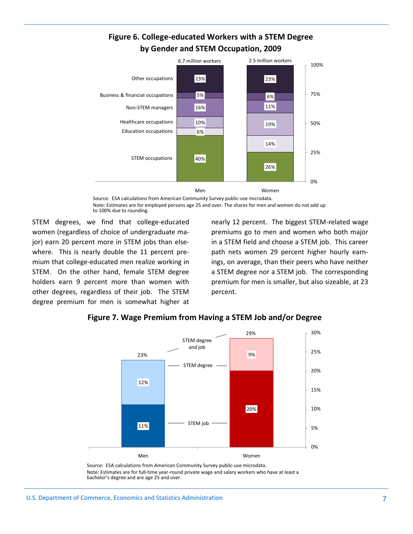## **Figure 6. College-educated Workers with a STEM Degree by Gender and STEM Occupation, 2009**



Source: ESA calculations from American Community Survey public-use microdata. Note: Estimates are for employed persons age 25 and over. The shares for men and women do not add up to 100% due to rounding.

STEM degrees, we find that college-educated women (regardless of choice of undergraduate major) earn 20 percent more in STEM jobs than elsewhere. This is nearly double the 11 percent premium that college-educated men realize working in STEM. On the other hand, female STEM degree holders earn 9 percent more than women with other degrees, regardless of their job. The STEM degree premium for men is somewhat higher at nearly 12 percent. The biggest STEM-related wage premiums go to men and women who both major in a STEM field and choose a STEM job. This career path nets women 29 percent higher hourly earnings, on average, than their peers who have neither a STEM degree nor a STEM job. The corresponding premium for men is smaller, but also sizeable, at 23 percent.



## **Figure 7. Wage Premium from Having a STEM Job and/or Degree**

Source: ESA calculations from American Community Survey public-use microdata. Note: Estimates are for full-time year-round private wage and salary workers who have at least a bachelor's degree and are age 25 and over.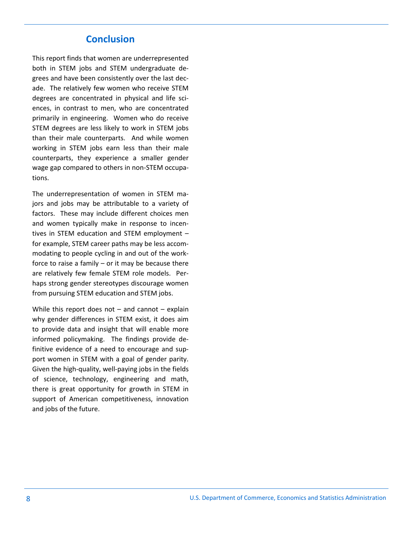## **Conclusion**

This report finds that women are underrepresented both in STEM jobs and STEM undergraduate degrees and have been consistently over the last decade. The relatively few women who receive STEM degrees are concentrated in physical and life sciences, in contrast to men, who are concentrated primarily in engineering. Women who do receive STEM degrees are less likely to work in STEM jobs than their male counterparts. And while women working in STEM jobs earn less than their male counterparts, they experience a smaller gender wage gap compared to others in non-STEM occupations.

The underrepresentation of women in STEM majors and jobs may be attributable to a variety of factors. These may include different choices men and women typically make in response to incentives in STEM education and STEM employment – for example, STEM career paths may be less accommodating to people cycling in and out of the workforce to raise a family  $-$  or it may be because there are relatively few female STEM role models. Perhaps strong gender stereotypes discourage women from pursuing STEM education and STEM jobs.

While this report does not  $-$  and cannot  $-$  explain why gender differences in STEM exist, it does aim to provide data and insight that will enable more informed policymaking. The findings provide definitive evidence of a need to encourage and support women in STEM with a goal of gender parity. Given the high-quality, well-paying jobs in the fields of science, technology, engineering and math, there is great opportunity for growth in STEM in support of American competitiveness, innovation and jobs of the future.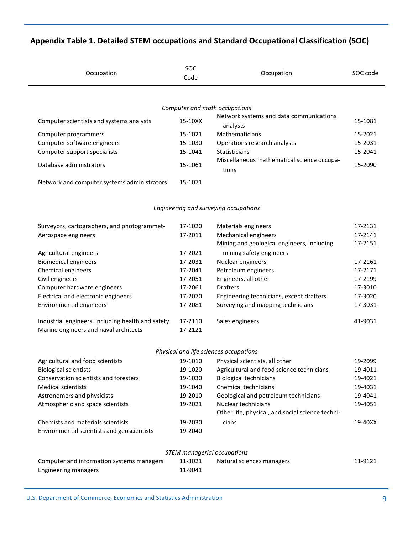## **Appendix Table 1. Detailed STEM occupations and Standard Occupational Classification (SOC)**

| Occupation                                  | <b>SOC</b><br>Code | Occupation                                          | SOC code |
|---------------------------------------------|--------------------|-----------------------------------------------------|----------|
|                                             |                    | Computer and math occupations                       |          |
| Computer scientists and systems analysts    | 15-10XX            | Network systems and data communications<br>analysts | 15-1081  |
| Computer programmers                        | 15-1021            | Mathematicians                                      | 15-2021  |
| Computer software engineers                 | 15-1030            | Operations research analysts                        | 15-2031  |
| Computer support specialists                | 15-1041            | <b>Statisticians</b>                                | 15-2041  |
| Database administrators                     | 15-1061            | Miscellaneous mathematical science occupa-<br>tions | 15-2090  |
| Network and computer systems administrators | 15-1071            |                                                     |          |

### *Engineering and surveying occupations*

| Surveyors, cartographers, and photogrammet-<br>Aerospace engineers                         | 17-1020<br>17-2011 | Materials engineers<br>Mechanical engineers<br>Mining and geological engineers, including | 17-2131<br>17-2141<br>17-2151 |
|--------------------------------------------------------------------------------------------|--------------------|-------------------------------------------------------------------------------------------|-------------------------------|
| Agricultural engineers                                                                     | 17-2021            | mining safety engineers                                                                   |                               |
| <b>Biomedical engineers</b>                                                                | 17-2031            | Nuclear engineers                                                                         | 17-2161                       |
| Chemical engineers                                                                         | 17-2041            | Petroleum engineers                                                                       | 17-2171                       |
| Civil engineers                                                                            | 17-2051            | Engineers, all other                                                                      | 17-2199                       |
| Computer hardware engineers                                                                | 17-2061            | <b>Drafters</b>                                                                           | 17-3010                       |
| Electrical and electronic engineers                                                        | 17-2070            | Engineering technicians, except drafters                                                  | 17-3020                       |
| Environmental engineers                                                                    | 17-2081            | Surveying and mapping technicians                                                         | 17-3031                       |
| Industrial engineers, including health and safety<br>Marine engineers and naval architects | 17-2110<br>17-2121 | Sales engineers                                                                           | 41-9031                       |

### *Physical and life sciences occupations*

| Agricultural and food scientists           | 19-1010 | Physical scientists, all other                   | 19-2099 |
|--------------------------------------------|---------|--------------------------------------------------|---------|
| <b>Biological scientists</b>               | 19-1020 | Agricultural and food science technicians        | 19-4011 |
| Conservation scientists and foresters      | 19-1030 | <b>Biological technicians</b>                    | 19-4021 |
| <b>Medical scientists</b>                  | 19-1040 | Chemical technicians                             | 19-4031 |
| Astronomers and physicists                 | 19-2010 | Geological and petroleum technicians             | 19-4041 |
| Atmospheric and space scientists           | 19-2021 | Nuclear technicians                              | 19-4051 |
|                                            |         | Other life, physical, and social science techni- |         |
| Chemists and materials scientists          | 19-2030 | cians                                            | 19-40XX |
| Environmental scientists and geoscientists | 19-2040 |                                                  |         |

| STEM managerial occupations               |         |                           |         |  |  |
|-------------------------------------------|---------|---------------------------|---------|--|--|
| Computer and information systems managers | 11-3021 | Natural sciences managers | 11-9121 |  |  |
| <b>Engineering managers</b>               | 11-9041 |                           |         |  |  |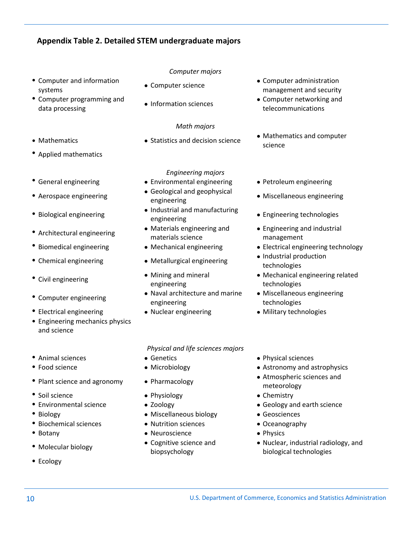### **Appendix Table 2. Detailed STEM undergraduate majors**

- Computer and information systems
- 
- 
- Applied mathematics
- 
- 
- 
- 
- 
- 
- 
- 
- Electrical engineering Nuclear engineering Military technologies
- Engineering mechanics physics and science
- 
- 
- 
- Soil science **Chemistry Chemistry Physiology Chemistry Chemistry**
- 
- 
- Biochemical sciences Nutrition sciences Oceanography
- 
- 
- Ecology
- *Computer majors*
- 
- 

### *Math majors*

### *Engineering majors*

- General engineering Environmental engineering Petroleum engineering
- Aerospace engineering <br>engineering engineering
- Biological engineering <br> **Industrial and manufacturing**<br> **Industrial and manufacturing**
- Architectural engineering values and Materials engineering and materials science
	-
	-
- Civil engineering **Mining and mineral** engineering
- Computer engineering Naval architecture and marine engineering
	-

*Physical and life sciences majors*

- 
- 
- 
- 
- 
- Biology Miscellaneous biology Geosciences
	-
- Botany **Access Physics** Neuroscience **Access Physics** Physics
- Molecular biology **Cognitive science and** biopsychology
- Computer science **Computer administration** management and security
- Computer programming and <br>
data processing **a** Information sciences<br>
data processing<br>
data processing telecommunications
- Mathematics extending the Statistics and decision science Mathematics and computer science
	-
	- Miscellaneous engineering
	- Engineering technologies
	- Engineering and industrial management
- Biomedical engineering Mechanical engineering Electrical engineering technology
- Chemical engineering Metallurgical engineering Industrial production technologies
	- Mechanical engineering related technologies
	- Miscellaneous engineering technologies
	-
- Animal sciences Genetics Constanting Physical sciences Genetics Physical sciences
- Food science **Microbiology Astronomy and astrophysics Astronomy and astrophysics •** Astronomy and astrophysics
- Plant science and agronomy Pharmacology Pharmacology Atmospheric sciences and meteorology
	-
- Environmental science  $\bullet$  Zoology  $\bullet$  Geology and earth science
	-
	-
	-
	- Nuclear, industrial radiology, and biological technologies